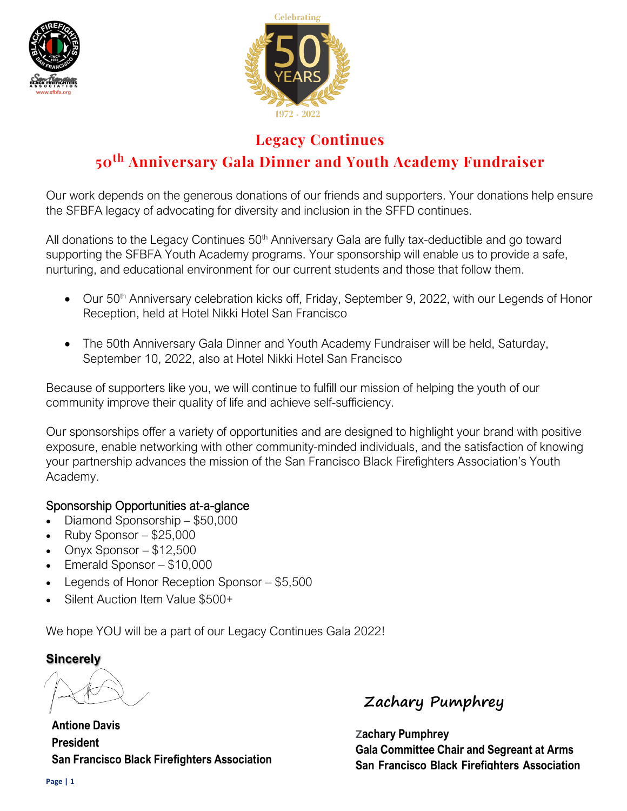



### **Legacy Continues**

## **50th Anniversary Gala Dinner and Youth Academy Fundraiser**

Our work depends on the generous donations of our friends and supporters. Your donations help ensure the SFBFA legacy of advocating for diversity and inclusion in the SFFD continues.

All donations to the Legacy Continues 50<sup>th</sup> Anniversary Gala are fully tax-deductible and go toward supporting the SFBFA Youth Academy programs. Your sponsorship will enable us to provide a safe, nurturing, and educational environment for our current students and those that follow them.

- Our 50<sup>th</sup> Anniversary celebration kicks off, Friday, September 9, 2022, with our Legends of Honor Reception, held at Hotel Nikki Hotel San Francisco
- The 50th Anniversary Gala Dinner and Youth Academy Fundraiser will be held, Saturday, September 10, 2022, also at Hotel Nikki Hotel San Francisco

Because of supporters like you, we will continue to fulfill our mission of helping the youth of our community improve their quality of life and achieve self-sufficiency.

Our sponsorships offer a variety of opportunities and are designed to highlight your brand with positive exposure, enable networking with other community-minded individuals, and the satisfaction of knowing your partnership advances the mission of the San Francisco Black Firefighters Association's Youth Academy.

#### Sponsorship Opportunities at-a-glance

- Diamond Sponsorship \$50,000
- $\bullet$  Ruby Sponsor \$25,000
- Onyx Sponsor  $-$  \$12,500
- Emerald Sponsor \$10,000
- Legends of Honor Reception Sponsor \$5,500
- Silent Auction Item Value \$500+

We hope YOU will be a part of our Legacy Continues Gala 2022!

#### **Sincerely**

**Antione Davis President San Francisco Black Firefighters Association**

**Zachary Pumphrey**

**Zachary Pumphrey Gala Committee Chair and Segreant at Arms San Francisco Black Firefighters Association**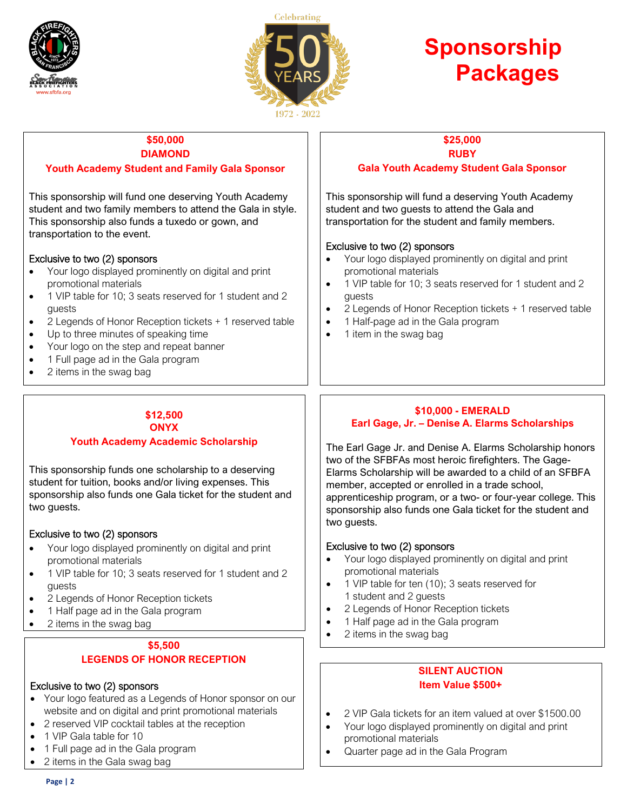



# **Sponsorship Packages**

#### **\$50,000 DIAMOND Youth Academy Student and Family Gala Sponsor**

This sponsorship will fund one deserving Youth Academy student and two family members to attend the Gala in style. This sponsorship also funds a tuxedo or gown, and transportation to the event.

#### Exclusive to two (2) sponsors

- Your logo displayed prominently on digital and print promotional materials
- 1 VIP table for 10; 3 seats reserved for 1 student and 2 guests
- 2 Legends of Honor Reception tickets + 1 reserved table
- Up to three minutes of speaking time
- Your logo on the step and repeat banner
- 1 Full page ad in the Gala program
- 2 items in the swag bag

#### **\$12,500 ONYX**

#### **Youth Academy Academic Scholarship**

This sponsorship funds one scholarship to a deserving student for tuition, books and/or living expenses. This sponsorship also funds one Gala ticket for the student and two guests.

#### Exclusive to two (2) sponsors

- Your logo displayed prominently on digital and print promotional materials
- 1 VIP table for 10; 3 seats reserved for 1 student and 2 guests
- 2 Legends of Honor Reception tickets
- 1 Half page ad in the Gala program
- 2 items in the swag bag

#### **\$5,500 LEGENDS OF HONOR RECEPTION**

#### Exclusive to two (2) sponsors

- Your logo featured as a Legends of Honor sponsor on our website and on digital and print promotional materials
- 2 reserved VIP cocktail tables at the reception
- 1 VIP Gala table for 10
- 1 Full page ad in the Gala program
- 2 items in the Gala swag bag

#### **\$25,000 RUBY**

#### **Gala Youth Academy Student Gala Sponsor**

This sponsorship will fund a deserving Youth Academy student and two guests to attend the Gala and transportation for the student and family members.

#### Exclusive to two (2) sponsors

- Your logo displayed prominently on digital and print promotional materials
- 1 VIP table for 10; 3 seats reserved for 1 student and 2 guests
- 2 Legends of Honor Reception tickets + 1 reserved table
- 1 Half-page ad in the Gala program
- 1 item in the swag bag

#### **\$10,000 - EMERALD Earl Gage, Jr. – Denise A. Elarms Scholarships**

The Earl Gage Jr. and Denise A. Elarms Scholarship honors two of the SFBFAs most heroic firefighters. The Gage-Elarms Scholarship will be awarded to a child of an SFBFA member, accepted or enrolled in a trade school, apprenticeship program, or a two- or four-year college. This sponsorship also funds one Gala ticket for the student and two guests.

#### Exclusive to two (2) sponsors

- Your logo displayed prominently on digital and print promotional materials
- 1 VIP table for ten (10); 3 seats reserved for 1 student and 2 guests
- 2 Legends of Honor Reception tickets
- 1 Half page ad in the Gala program
- 2 items in the swag bag

#### **SILENT AUCTION Item Value \$500+**

- 2 VIP Gala tickets for an item valued at over \$1500.00
- Your logo displayed prominently on digital and print promotional materials
- Quarter page ad in the Gala Program